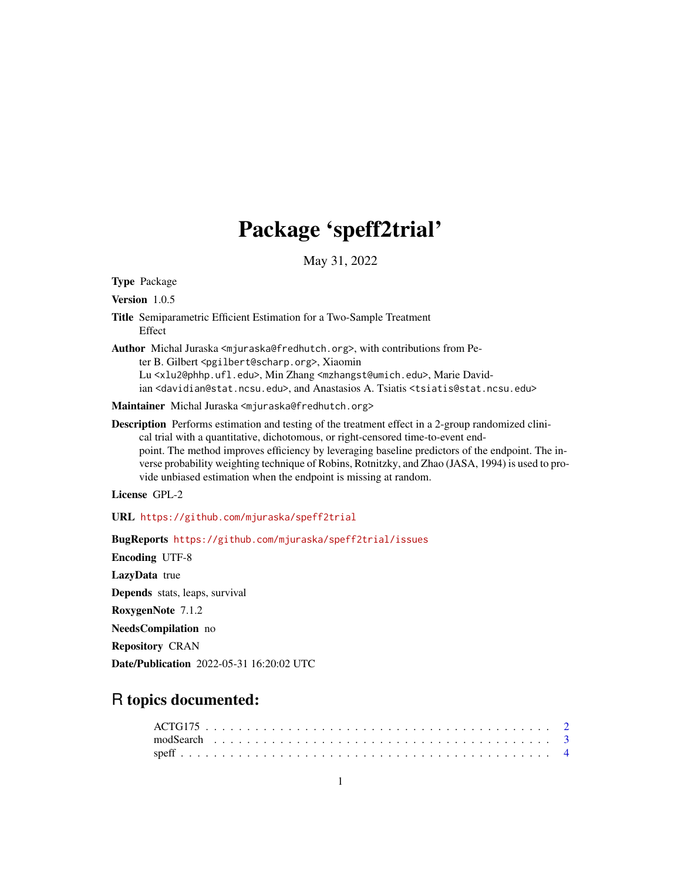# Package 'speff2trial'

May 31, 2022

Type Package

Version 1.0.5

Title Semiparametric Efficient Estimation for a Two-Sample Treatment Effect

Author Michal Juraska <mjuraska@fredhutch.org>, with contributions from Peter B. Gilbert <pgilbert@scharp.org>, Xiaomin Lu <xlu2@phhp.ufl.edu>, Min Zhang <mzhangst@umich.edu>, Marie Davidian <davidian@stat.ncsu.edu>, and Anastasios A. Tsiatis <tsiatis@stat.ncsu.edu>

Maintainer Michal Juraska <mjuraska@fredhutch.org>

Description Performs estimation and testing of the treatment effect in a 2-group randomized clinical trial with a quantitative, dichotomous, or right-censored time-to-event endpoint. The method improves efficiency by leveraging baseline predictors of the endpoint. The inverse probability weighting technique of Robins, Rotnitzky, and Zhao (JASA, 1994) is used to provide unbiased estimation when the endpoint is missing at random.

License GPL-2

URL <https://github.com/mjuraska/speff2trial>

BugReports <https://github.com/mjuraska/speff2trial/issues>

Encoding UTF-8 LazyData true Depends stats, leaps, survival RoxygenNote 7.1.2 NeedsCompilation no Repository CRAN Date/Publication 2022-05-31 16:20:02 UTC

# R topics documented: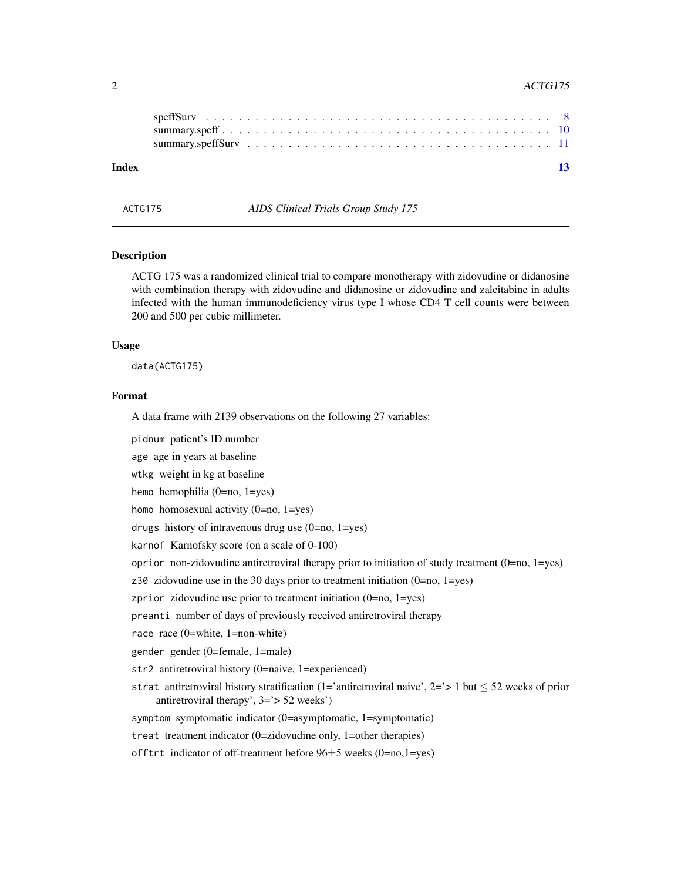#### <span id="page-1-0"></span>2 ACTG175

| Index |  |  |  |  |  |  |  |  |  |  |  |  |  |  |  | -13 |
|-------|--|--|--|--|--|--|--|--|--|--|--|--|--|--|--|-----|

#### **Description**

ACTG 175 was a randomized clinical trial to compare monotherapy with zidovudine or didanosine with combination therapy with zidovudine and didanosine or zidovudine and zalcitabine in adults infected with the human immunodeficiency virus type I whose CD4 T cell counts were between 200 and 500 per cubic millimeter.

#### Usage

data(ACTG175)

#### Format

A data frame with 2139 observations on the following 27 variables:

ACTG175 *AIDS Clinical Trials Group Study 175*

pidnum patient's ID number

age age in years at baseline

wtkg weight in kg at baseline

hemo hemophilia (0=no, 1=yes)

homo homosexual activity (0=no, 1=yes)

drugs history of intravenous drug use  $(0=no, 1=yes)$ 

karnof Karnofsky score (on a scale of 0-100)

oprior non-zidovudine antiretroviral therapy prior to initiation of study treatment (0=no, 1=yes)

z30 zidovudine use in the 30 days prior to treatment initiation (0=no, 1=yes)

zprior zidovudine use prior to treatment initiation (0=no, 1=yes)

preanti number of days of previously received antiretroviral therapy

race race (0=white, 1=non-white)

gender gender (0=female, 1=male)

str2 antiretroviral history (0=naive, 1=experienced)

strat antiretroviral history stratification (1='antiretroviral naive',  $2 = \ge 1$  but  $\le 52$  weeks of prior antiretroviral therapy', 3='> 52 weeks')

symptom symptomatic indicator (0=asymptomatic, 1=symptomatic)

treat treatment indicator (0=zidovudine only, 1=other therapies)

offtrt indicator of off-treatment before  $96±5$  weeks (0=no,1=yes)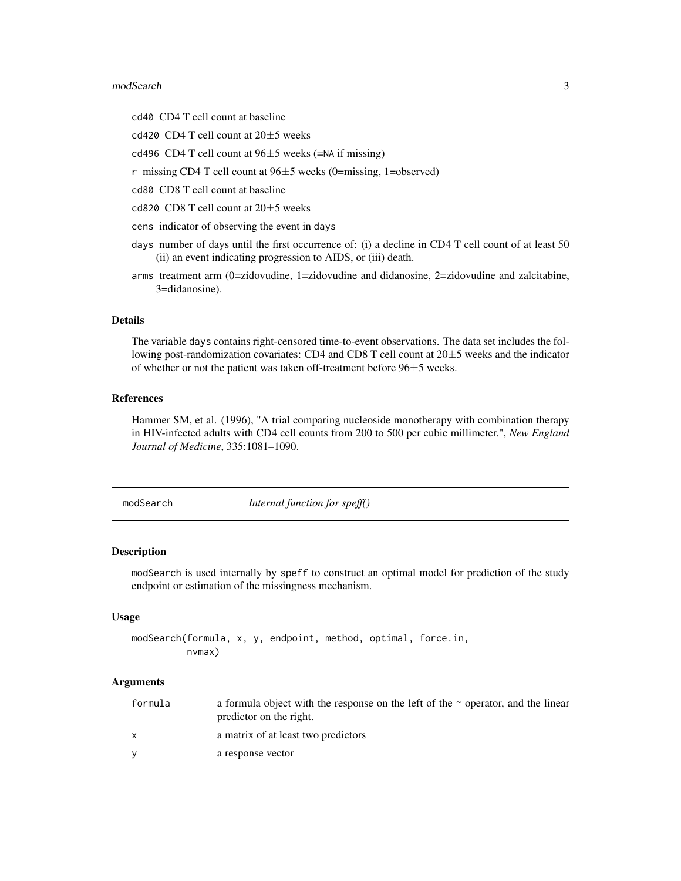#### <span id="page-2-0"></span>modSearch 3

cd40 CD4 T cell count at baseline

cd420 CD4 T cell count at  $20\pm 5$  weeks

cd496 CD4 T cell count at  $96±5$  weeks (=NA if missing)

r missing CD4 T cell count at 96±5 weeks (0=missing, 1=observed)

cd80 CD8 T cell count at baseline

cd820 CD8 T cell count at  $20\pm5$  weeks

cens indicator of observing the event in days

- days number of days until the first occurrence of: (i) a decline in CD4 T cell count of at least 50 (ii) an event indicating progression to AIDS, or (iii) death.
- arms treatment arm (0=zidovudine, 1=zidovudine and didanosine, 2=zidovudine and zalcitabine, 3=didanosine).

#### Details

The variable days contains right-censored time-to-event observations. The data set includes the following post-randomization covariates: CD4 and CD8 T cell count at 20±5 weeks and the indicator of whether or not the patient was taken off-treatment before 96±5 weeks.

#### References

Hammer SM, et al. (1996), "A trial comparing nucleoside monotherapy with combination therapy in HIV-infected adults with CD4 cell counts from 200 to 500 per cubic millimeter.", *New England Journal of Medicine*, 335:1081–1090.

modSearch *Internal function for speff()*

#### Description

modSearch is used internally by speff to construct an optimal model for prediction of the study endpoint or estimation of the missingness mechanism.

#### Usage

```
modSearch(formula, x, y, endpoint, method, optimal, force.in,
          nvmax)
```
#### Arguments

| formula | a formula object with the response on the left of the $\sim$ operator, and the linear<br>predictor on the right. |
|---------|------------------------------------------------------------------------------------------------------------------|
|         | a matrix of at least two predictors                                                                              |
|         | a response vector                                                                                                |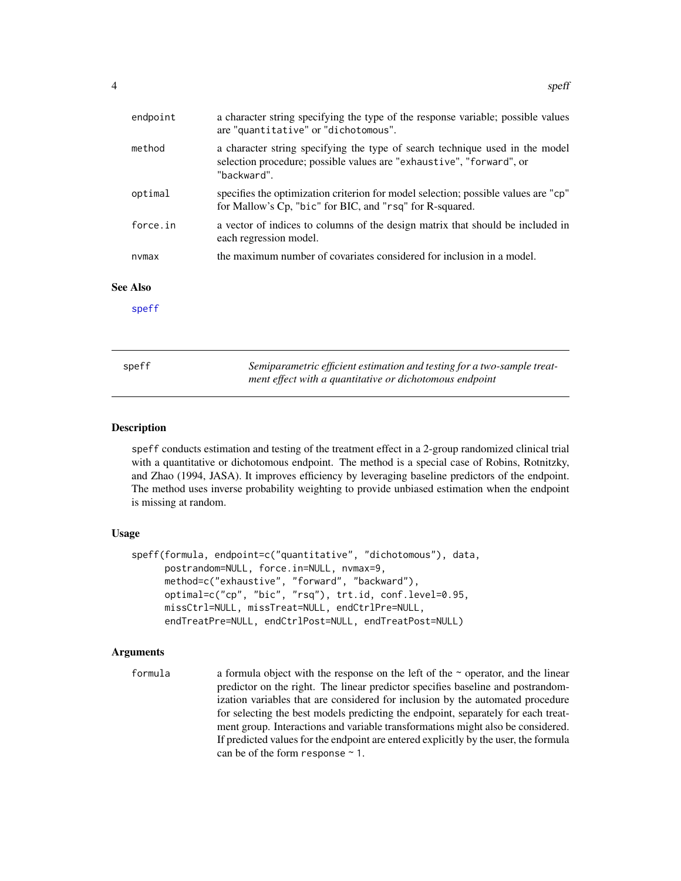<span id="page-3-0"></span>

| endpoint        | a character string specifying the type of the response variable; possible values<br>are "quantitative" or "dichotomous".                                            |
|-----------------|---------------------------------------------------------------------------------------------------------------------------------------------------------------------|
| method          | a character string specifying the type of search technique used in the model<br>selection procedure; possible values are "exhaustive", "forward", or<br>"backward". |
| optimal         | specifies the optimization criterion for model selection; possible values are "cp"<br>for Mallow's Cp, "bic" for BIC, and "rsq" for R-squared.                      |
| force.in        | a vector of indices to columns of the design matrix that should be included in<br>each regression model.                                                            |
| nvmax           | the maximum number of covariates considered for inclusion in a model.                                                                                               |
| <b>See Also</b> |                                                                                                                                                                     |
| speff           |                                                                                                                                                                     |
|                 |                                                                                                                                                                     |
| speff           | Semiparametric efficient estimation and testing for a two-sample treat-<br>ment effect with a quantitative or dichotomous endpoint                                  |

#### <span id="page-3-1"></span>Description

speff conducts estimation and testing of the treatment effect in a 2-group randomized clinical trial with a quantitative or dichotomous endpoint. The method is a special case of Robins, Rotnitzky, and Zhao (1994, JASA). It improves efficiency by leveraging baseline predictors of the endpoint. The method uses inverse probability weighting to provide unbiased estimation when the endpoint is missing at random.

#### Usage

```
speff(formula, endpoint=c("quantitative", "dichotomous"), data,
     postrandom=NULL, force.in=NULL, nvmax=9,
     method=c("exhaustive", "forward", "backward"),
     optimal=c("cp", "bic", "rsq"), trt.id, conf.level=0.95,
     missCtrl=NULL, missTreat=NULL, endCtrlPre=NULL,
     endTreatPre=NULL, endCtrlPost=NULL, endTreatPost=NULL)
```
#### Arguments

formula a formula object with the response on the left of the ~ operator, and the linear predictor on the right. The linear predictor specifies baseline and postrandomization variables that are considered for inclusion by the automated procedure for selecting the best models predicting the endpoint, separately for each treatment group. Interactions and variable transformations might also be considered. If predicted values for the endpoint are entered explicitly by the user, the formula can be of the form response ~ 1.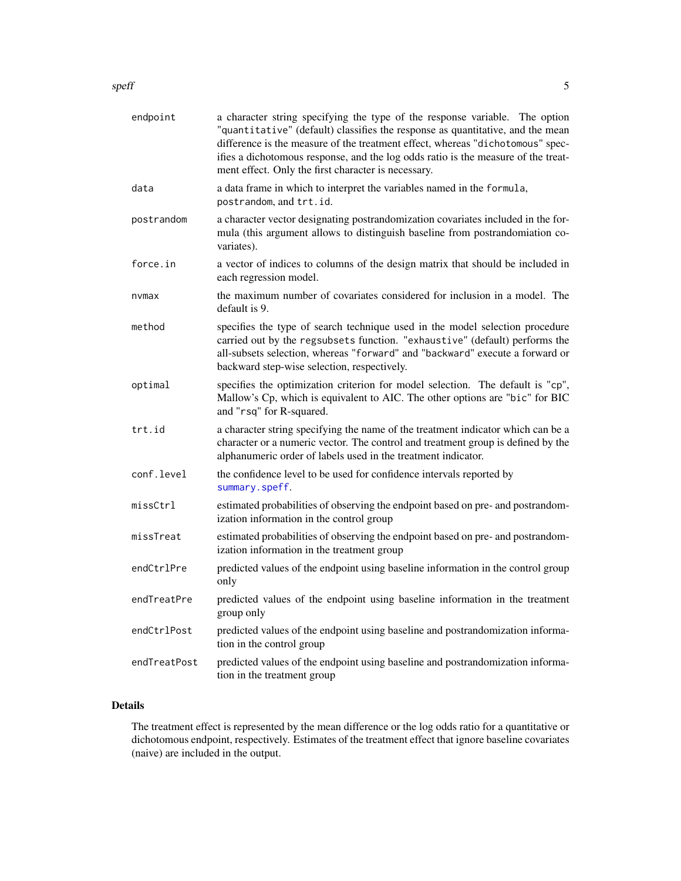<span id="page-4-0"></span>

| endpoint     | a character string specifying the type of the response variable. The option<br>"quantitative" (default) classifies the response as quantitative, and the mean<br>difference is the measure of the treatment effect, whereas "dichotomous" spec-<br>ifies a dichotomous response, and the log odds ratio is the measure of the treat-<br>ment effect. Only the first character is necessary. |
|--------------|---------------------------------------------------------------------------------------------------------------------------------------------------------------------------------------------------------------------------------------------------------------------------------------------------------------------------------------------------------------------------------------------|
| data         | a data frame in which to interpret the variables named in the formula,<br>postrandom, and trt.id.                                                                                                                                                                                                                                                                                           |
| postrandom   | a character vector designating postrandomization covariates included in the for-<br>mula (this argument allows to distinguish baseline from postrandomiation co-<br>variates).                                                                                                                                                                                                              |
| force.in     | a vector of indices to columns of the design matrix that should be included in<br>each regression model.                                                                                                                                                                                                                                                                                    |
| nvmax        | the maximum number of covariates considered for inclusion in a model. The<br>default is 9.                                                                                                                                                                                                                                                                                                  |
| method       | specifies the type of search technique used in the model selection procedure<br>carried out by the regsubsets function. "exhaustive" (default) performs the<br>all-subsets selection, whereas "forward" and "backward" execute a forward or<br>backward step-wise selection, respectively.                                                                                                  |
| optimal      | specifies the optimization criterion for model selection. The default is "cp",<br>Mallow's Cp, which is equivalent to AIC. The other options are "bic" for BIC<br>and "rsq" for R-squared.                                                                                                                                                                                                  |
| trt.id       | a character string specifying the name of the treatment indicator which can be a<br>character or a numeric vector. The control and treatment group is defined by the<br>alphanumeric order of labels used in the treatment indicator.                                                                                                                                                       |
| conf.level   | the confidence level to be used for confidence intervals reported by<br>summary.speff.                                                                                                                                                                                                                                                                                                      |
| missCtrl     | estimated probabilities of observing the endpoint based on pre- and postrandom-<br>ization information in the control group                                                                                                                                                                                                                                                                 |
| missTreat    | estimated probabilities of observing the endpoint based on pre- and postrandom-<br>ization information in the treatment group                                                                                                                                                                                                                                                               |
| endCtrlPre   | predicted values of the endpoint using baseline information in the control group<br>only                                                                                                                                                                                                                                                                                                    |
| endTreatPre  | predicted values of the endpoint using baseline information in the treatment<br>group only                                                                                                                                                                                                                                                                                                  |
| endCtrlPost  | predicted values of the endpoint using baseline and postrandomization informa-<br>tion in the control group                                                                                                                                                                                                                                                                                 |
| endTreatPost | predicted values of the endpoint using baseline and postrandomization informa-<br>tion in the treatment group                                                                                                                                                                                                                                                                               |
|              |                                                                                                                                                                                                                                                                                                                                                                                             |

# Details

The treatment effect is represented by the mean difference or the log odds ratio for a quantitative or dichotomous endpoint, respectively. Estimates of the treatment effect that ignore baseline covariates (naive) are included in the output.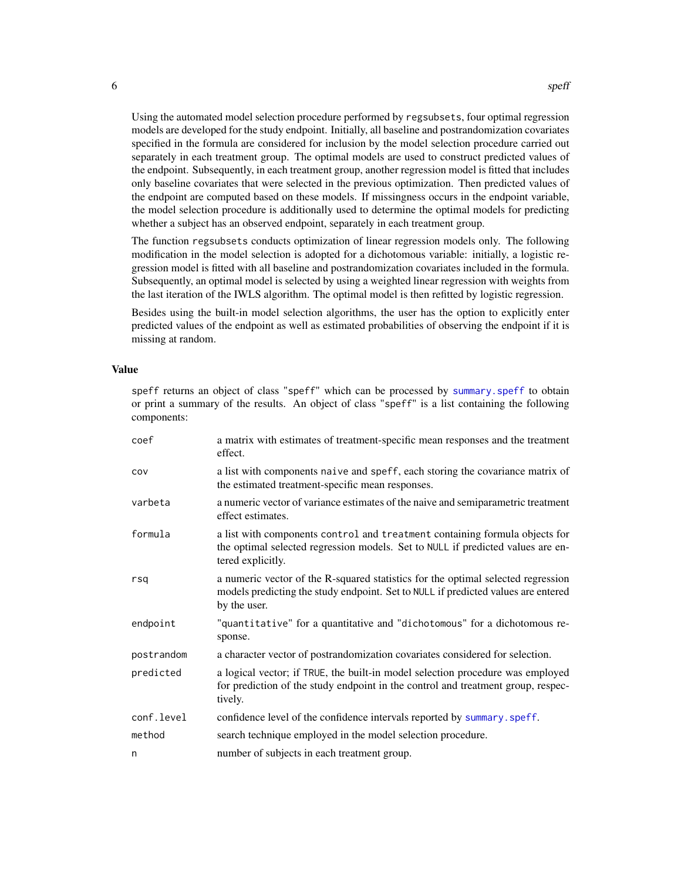Using the automated model selection procedure performed by regsubsets, four optimal regression models are developed for the study endpoint. Initially, all baseline and postrandomization covariates specified in the formula are considered for inclusion by the model selection procedure carried out separately in each treatment group. The optimal models are used to construct predicted values of the endpoint. Subsequently, in each treatment group, another regression model is fitted that includes only baseline covariates that were selected in the previous optimization. Then predicted values of the endpoint are computed based on these models. If missingness occurs in the endpoint variable, the model selection procedure is additionally used to determine the optimal models for predicting whether a subject has an observed endpoint, separately in each treatment group.

The function regsubsets conducts optimization of linear regression models only. The following modification in the model selection is adopted for a dichotomous variable: initially, a logistic regression model is fitted with all baseline and postrandomization covariates included in the formula. Subsequently, an optimal model is selected by using a weighted linear regression with weights from the last iteration of the IWLS algorithm. The optimal model is then refitted by logistic regression.

Besides using the built-in model selection algorithms, the user has the option to explicitly enter predicted values of the endpoint as well as estimated probabilities of observing the endpoint if it is missing at random.

#### Value

speff returns an object of class "speff" which can be processed by [summary.speff](#page-9-1) to obtain or print a summary of the results. An object of class "speff" is a list containing the following components:

| coef       | a matrix with estimates of treatment-specific mean responses and the treatment<br>effect.                                                                                             |
|------------|---------------------------------------------------------------------------------------------------------------------------------------------------------------------------------------|
| COV        | a list with components naive and speff, each storing the covariance matrix of<br>the estimated treatment-specific mean responses.                                                     |
| varbeta    | a numeric vector of variance estimates of the naive and semiparametric treatment<br>effect estimates.                                                                                 |
| formula    | a list with components control and treatment containing formula objects for<br>the optimal selected regression models. Set to NULL if predicted values are en-<br>tered explicitly.   |
| rsq        | a numeric vector of the R-squared statistics for the optimal selected regression<br>models predicting the study endpoint. Set to NULL if predicted values are entered<br>by the user. |
| endpoint   | "quantitative" for a quantitative and "dichotomous" for a dichotomous re-<br>sponse.                                                                                                  |
| postrandom | a character vector of postrandomization covariates considered for selection.                                                                                                          |
| predicted  | a logical vector; if TRUE, the built-in model selection procedure was employed<br>for prediction of the study endpoint in the control and treatment group, respec-<br>tively.         |
| conf.level | confidence level of the confidence intervals reported by summary. speff.                                                                                                              |
| method     | search technique employed in the model selection procedure.                                                                                                                           |
| n          | number of subjects in each treatment group.                                                                                                                                           |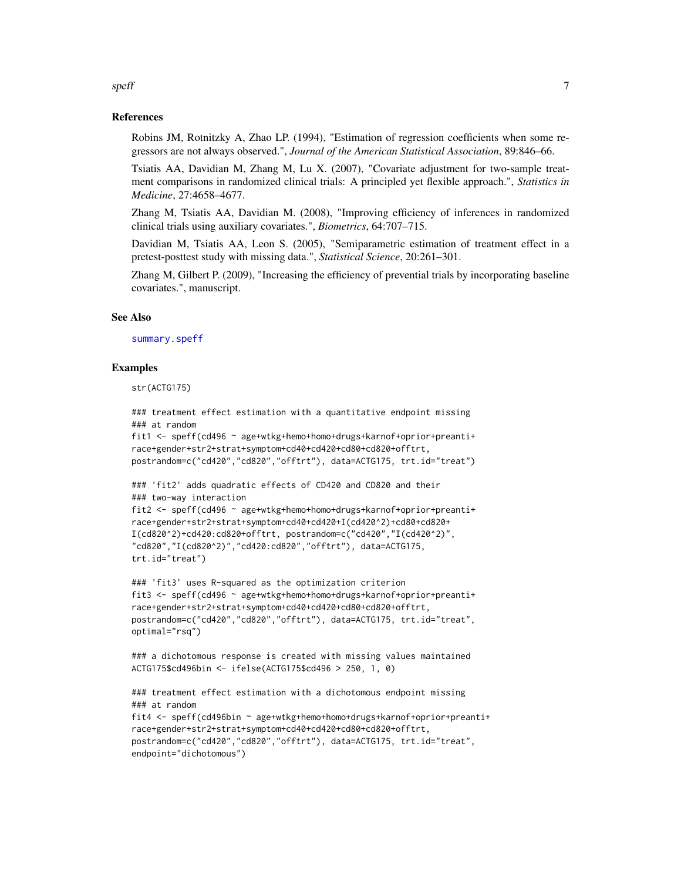#### References

Robins JM, Rotnitzky A, Zhao LP. (1994), "Estimation of regression coefficients when some regressors are not always observed.", *Journal of the American Statistical Association*, 89:846–66.

Tsiatis AA, Davidian M, Zhang M, Lu X. (2007), "Covariate adjustment for two-sample treatment comparisons in randomized clinical trials: A principled yet flexible approach.", *Statistics in Medicine*, 27:4658–4677.

Zhang M, Tsiatis AA, Davidian M. (2008), "Improving efficiency of inferences in randomized clinical trials using auxiliary covariates.", *Biometrics*, 64:707–715.

Davidian M, Tsiatis AA, Leon S. (2005), "Semiparametric estimation of treatment effect in a pretest-posttest study with missing data.", *Statistical Science*, 20:261–301.

Zhang M, Gilbert P. (2009), "Increasing the efficiency of prevential trials by incorporating baseline covariates.", manuscript.

#### See Also

[summary.speff](#page-9-1)

#### Examples

str(ACTG175)

```
### treatment effect estimation with a quantitative endpoint missing
### at random
fit1 <- speff(cd496 ~ age+wtkg+hemo+homo+drugs+karnof+oprior+preanti+
race+gender+str2+strat+symptom+cd40+cd420+cd80+cd820+offtrt,
postrandom=c("cd420","cd820","offtrt"), data=ACTG175, trt.id="treat")
### 'fit2' adds quadratic effects of CD420 and CD820 and their
### two-way interaction
fit2 <- speff(cd496 ~ age+wtkg+hemo+homo+drugs+karnof+oprior+preanti+
race+gender+str2+strat+symptom+cd40+cd420+I(cd420^2)+cd80+cd820+
I(cd820^2)+cd420:cd820+offtrt, postrandom=c("cd420","I(cd420^2)",
"cd820","I(cd820^2)","cd420:cd820","offtrt"), data=ACTG175,
trt.id="treat")
### 'fit3' uses R-squared as the optimization criterion
fit3 <- speff(cd496 ~ age+wtkg+hemo+homo+drugs+karnof+oprior+preanti+
race+gender+str2+strat+symptom+cd40+cd420+cd80+cd820+offtrt,
postrandom=c("cd420","cd820","offtrt"), data=ACTG175, trt.id="treat",
optimal="rsq")
### a dichotomous response is created with missing values maintained
ACTG175$cd496bin <- ifelse(ACTG175$cd496 > 250, 1, 0)
### treatment effect estimation with a dichotomous endpoint missing
### at random
fit4 <- speff(cd496bin ~ age+wtkg+hemo+homo+drugs+karnof+oprior+preanti+
race+gender+str2+strat+symptom+cd40+cd420+cd80+cd820+offtrt,
postrandom=c("cd420","cd820","offtrt"), data=ACTG175, trt.id="treat",
```

```
endpoint="dichotomous")
```
#### <span id="page-6-0"></span> $s$ peff $\overline{7}$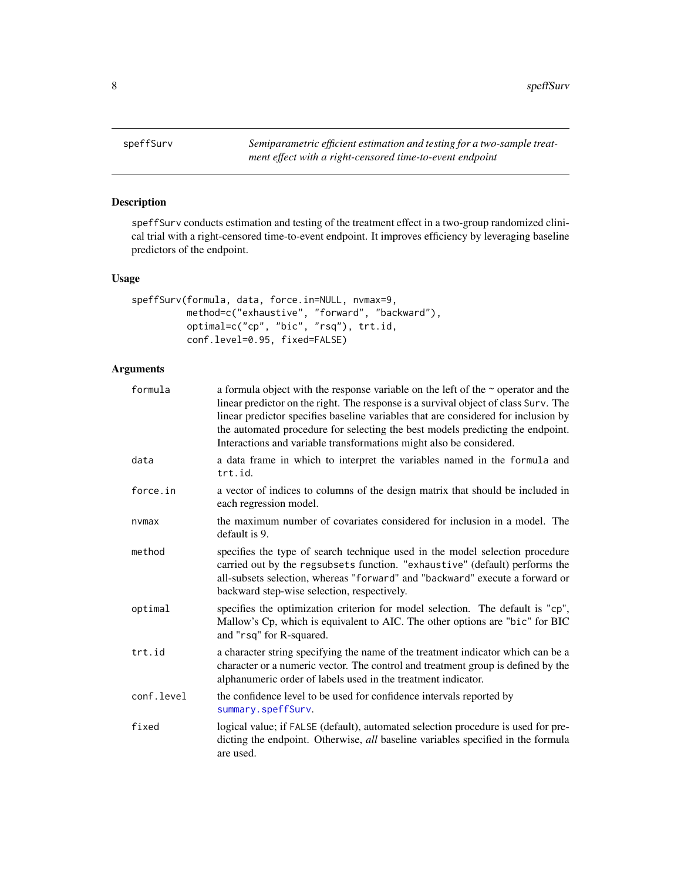<span id="page-7-1"></span><span id="page-7-0"></span>

# Description

speffSurv conducts estimation and testing of the treatment effect in a two-group randomized clinical trial with a right-censored time-to-event endpoint. It improves efficiency by leveraging baseline predictors of the endpoint.

# Usage

```
speffSurv(formula, data, force.in=NULL, nvmax=9,
         method=c("exhaustive", "forward", "backward"),
         optimal=c("cp", "bic", "rsq"), trt.id,
         conf.level=0.95, fixed=FALSE)
```
# Arguments

| formula    | a formula object with the response variable on the left of the $\sim$ operator and the<br>linear predictor on the right. The response is a survival object of class Surv. The<br>linear predictor specifies baseline variables that are considered for inclusion by<br>the automated procedure for selecting the best models predicting the endpoint.<br>Interactions and variable transformations might also be considered. |
|------------|------------------------------------------------------------------------------------------------------------------------------------------------------------------------------------------------------------------------------------------------------------------------------------------------------------------------------------------------------------------------------------------------------------------------------|
| data       | a data frame in which to interpret the variables named in the formula and<br>trt.id.                                                                                                                                                                                                                                                                                                                                         |
| force.in   | a vector of indices to columns of the design matrix that should be included in<br>each regression model.                                                                                                                                                                                                                                                                                                                     |
| nvmax      | the maximum number of covariates considered for inclusion in a model. The<br>default is 9.                                                                                                                                                                                                                                                                                                                                   |
| method     | specifies the type of search technique used in the model selection procedure<br>carried out by the regsubsets function. "exhaustive" (default) performs the<br>all-subsets selection, whereas "forward" and "backward" execute a forward or<br>backward step-wise selection, respectively.                                                                                                                                   |
| optimal    | specifies the optimization criterion for model selection. The default is "cp",<br>Mallow's Cp, which is equivalent to AIC. The other options are "bic" for BIC<br>and "rsq" for R-squared.                                                                                                                                                                                                                                   |
| trt.id     | a character string specifying the name of the treatment indicator which can be a<br>character or a numeric vector. The control and treatment group is defined by the<br>alphanumeric order of labels used in the treatment indicator.                                                                                                                                                                                        |
| conf.level | the confidence level to be used for confidence intervals reported by<br>summary.speffSurv.                                                                                                                                                                                                                                                                                                                                   |
| fixed      | logical value; if FALSE (default), automated selection procedure is used for pre-<br>dicting the endpoint. Otherwise, all baseline variables specified in the formula<br>are used.                                                                                                                                                                                                                                           |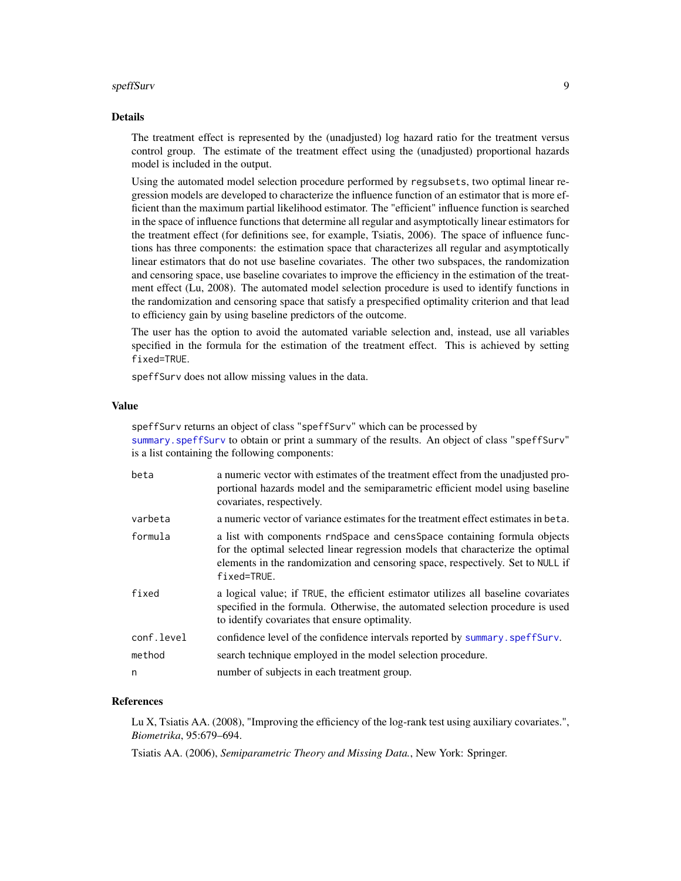#### speffSurv 9

#### Details

The treatment effect is represented by the (unadjusted) log hazard ratio for the treatment versus control group. The estimate of the treatment effect using the (unadjusted) proportional hazards model is included in the output.

Using the automated model selection procedure performed by regsubsets, two optimal linear regression models are developed to characterize the influence function of an estimator that is more efficient than the maximum partial likelihood estimator. The "efficient" influence function is searched in the space of influence functions that determine all regular and asymptotically linear estimators for the treatment effect (for definitions see, for example, Tsiatis, 2006). The space of influence functions has three components: the estimation space that characterizes all regular and asymptotically linear estimators that do not use baseline covariates. The other two subspaces, the randomization and censoring space, use baseline covariates to improve the efficiency in the estimation of the treatment effect (Lu, 2008). The automated model selection procedure is used to identify functions in the randomization and censoring space that satisfy a prespecified optimality criterion and that lead to efficiency gain by using baseline predictors of the outcome.

The user has the option to avoid the automated variable selection and, instead, use all variables specified in the formula for the estimation of the treatment effect. This is achieved by setting fixed=TRUE.

speffSurv does not allow missing values in the data.

#### Value

speffSurv returns an object of class "speffSurv" which can be processed by [summary.speffSurv](#page-10-1) to obtain or print a summary of the results. An object of class "speffSurv" is a list containing the following components:

| beta       | a numeric vector with estimates of the treatment effect from the unadjusted pro-<br>portional hazards model and the semiparametric efficient model using baseline<br>covariates, respectively.                                                                |
|------------|---------------------------------------------------------------------------------------------------------------------------------------------------------------------------------------------------------------------------------------------------------------|
| varbeta    | a numeric vector of variance estimates for the treatment effect estimates in beta.                                                                                                                                                                            |
| formula    | a list with components rndSpace and censSpace containing formula objects<br>for the optimal selected linear regression models that characterize the optimal<br>elements in the randomization and censoring space, respectively. Set to NULL if<br>fixed=TRUE. |
| fixed      | a logical value; if TRUE, the efficient estimator utilizes all baseline covariates<br>specified in the formula. Otherwise, the automated selection procedure is used<br>to identify covariates that ensure optimality.                                        |
| conf.level | confidence level of the confidence intervals reported by summary. speff Surv.                                                                                                                                                                                 |
| method     | search technique employed in the model selection procedure.                                                                                                                                                                                                   |
| n          | number of subjects in each treatment group.                                                                                                                                                                                                                   |

#### References

Lu X, Tsiatis AA. (2008), "Improving the efficiency of the log-rank test using auxiliary covariates.", *Biometrika*, 95:679–694.

Tsiatis AA. (2006), *Semiparametric Theory and Missing Data.*, New York: Springer.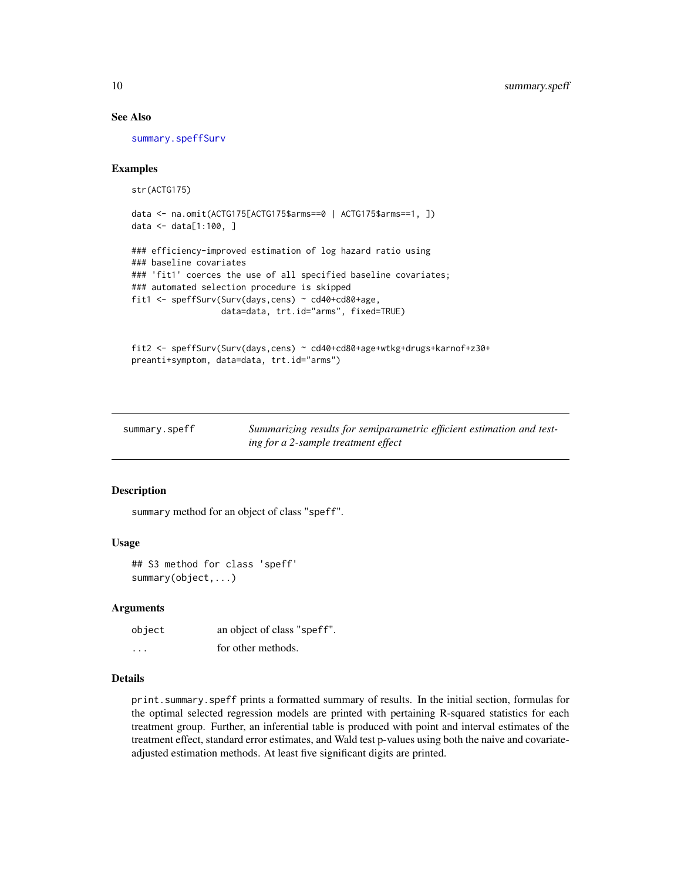#### See Also

[summary.speffSurv](#page-10-1)

#### Examples

str(ACTG175)

```
data <- na.omit(ACTG175[ACTG175$arms==0 | ACTG175$arms==1, ])
data <- data[1:100, ]
```

```
### efficiency-improved estimation of log hazard ratio using
### baseline covariates
### 'fit1' coerces the use of all specified baseline covariates;
### automated selection procedure is skipped
fit1 <- speffSurv(Surv(days,cens) ~ cd40+cd80+age,
                  data=data, trt.id="arms", fixed=TRUE)
```

```
fit2 <- speffSurv(Surv(days,cens) ~ cd40+cd80+age+wtkg+drugs+karnof+z30+
preanti+symptom, data=data, trt.id="arms")
```
<span id="page-9-1"></span>

| summary.speff | Summarizing results for semiparametric efficient estimation and test- |
|---------------|-----------------------------------------------------------------------|
|               | ing for a 2-sample treatment effect                                   |

#### Description

summary method for an object of class "speff".

#### Usage

## S3 method for class 'speff' summary(object,...)

#### **Arguments**

| object   | an object of class "speff". |
|----------|-----------------------------|
| $\cdots$ | for other methods.          |

# Details

print.summary.speff prints a formatted summary of results. In the initial section, formulas for the optimal selected regression models are printed with pertaining R-squared statistics for each treatment group. Further, an inferential table is produced with point and interval estimates of the treatment effect, standard error estimates, and Wald test p-values using both the naive and covariateadjusted estimation methods. At least five significant digits are printed.

<span id="page-9-0"></span>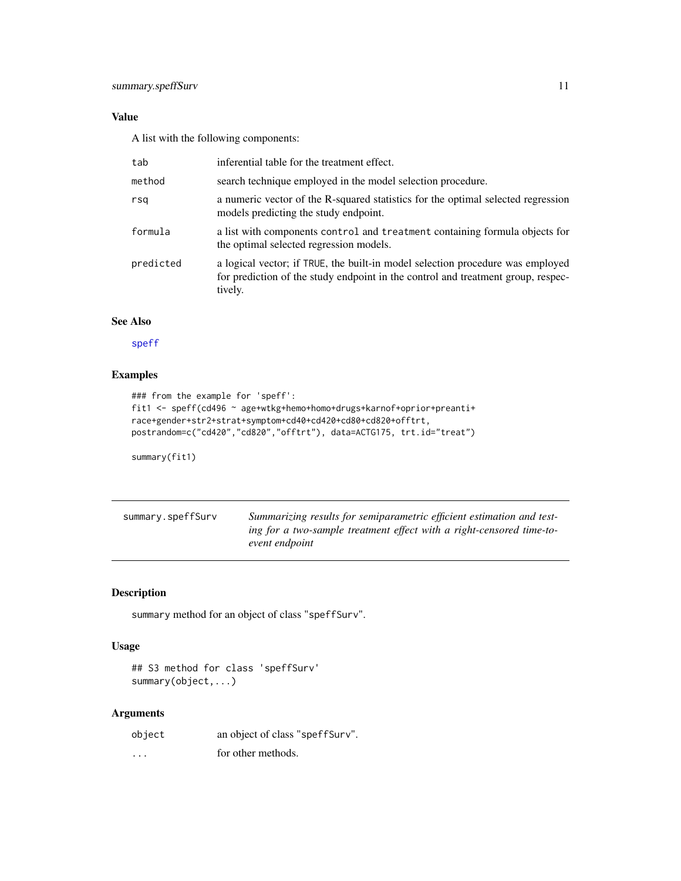# <span id="page-10-0"></span>Value

A list with the following components:

| tab       | inferential table for the treatment effect.                                                                                                                                   |
|-----------|-------------------------------------------------------------------------------------------------------------------------------------------------------------------------------|
| method    | search technique employed in the model selection procedure.                                                                                                                   |
| rsa       | a numeric vector of the R-squared statistics for the optimal selected regression<br>models predicting the study endpoint.                                                     |
| formula   | a list with components control and treatment containing formula objects for<br>the optimal selected regression models.                                                        |
| predicted | a logical vector; if TRUE, the built-in model selection procedure was employed<br>for prediction of the study endpoint in the control and treatment group, respec-<br>tively. |

# See Also

[speff](#page-3-1)

# Examples

```
### from the example for 'speff':
fit1 <- speff(cd496 ~ age+wtkg+hemo+homo+drugs+karnof+oprior+preanti+
race+gender+str2+strat+symptom+cd40+cd420+cd80+cd820+offtrt,
postrandom=c("cd420","cd820","offtrt"), data=ACTG175, trt.id="treat")
```
summary(fit1)

<span id="page-10-1"></span>

| summary.speffSurv | Summarizing results for semiparametric efficient estimation and test- |
|-------------------|-----------------------------------------------------------------------|
|                   | ing for a two-sample treatment effect with a right-censored time-to-  |
|                   | event endpoint                                                        |

# Description

summary method for an object of class "speffSurv".

#### Usage

```
## S3 method for class 'speffSurv'
summary(object,...)
```
# Arguments

| object | an object of class "speff Surv". |
|--------|----------------------------------|
| .      | for other methods.               |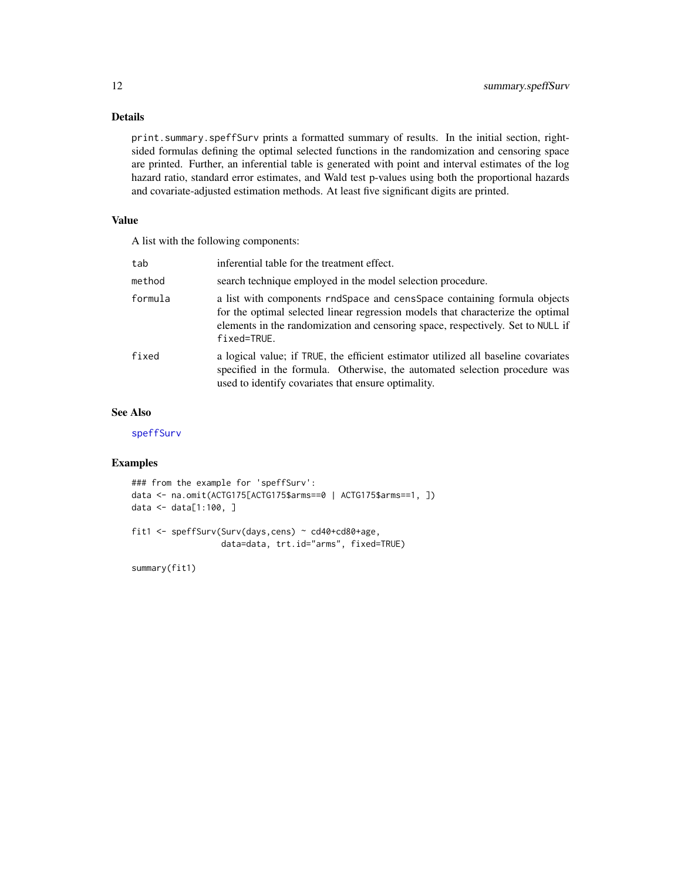## <span id="page-11-0"></span>Details

print.summary.speffSurv prints a formatted summary of results. In the initial section, rightsided formulas defining the optimal selected functions in the randomization and censoring space are printed. Further, an inferential table is generated with point and interval estimates of the log hazard ratio, standard error estimates, and Wald test p-values using both the proportional hazards and covariate-adjusted estimation methods. At least five significant digits are printed.

## Value

A list with the following components:

| tab     | inferential table for the treatment effect.                                                                                                                                                                                                                   |
|---------|---------------------------------------------------------------------------------------------------------------------------------------------------------------------------------------------------------------------------------------------------------------|
| method  | search technique employed in the model selection procedure.                                                                                                                                                                                                   |
| formula | a list with components rndSpace and censSpace containing formula objects<br>for the optimal selected linear regression models that characterize the optimal<br>elements in the randomization and censoring space, respectively. Set to NULL if<br>fixed=TRUE. |
| fixed   | a logical value; if TRUE, the efficient estimator utilized all baseline covariates<br>specified in the formula. Otherwise, the automated selection procedure was<br>used to identify covariates that ensure optimality.                                       |

# See Also

[speffSurv](#page-7-1)

# Examples

```
### from the example for 'speffSurv':
data <- na.omit(ACTG175[ACTG175$arms==0 | ACTG175$arms==1, ])
data <- data[1:100, ]
fit1 <- speffSurv(Surv(days,cens) ~ cd40+cd80+age,
                  data=data, trt.id="arms", fixed=TRUE)
```
summary(fit1)